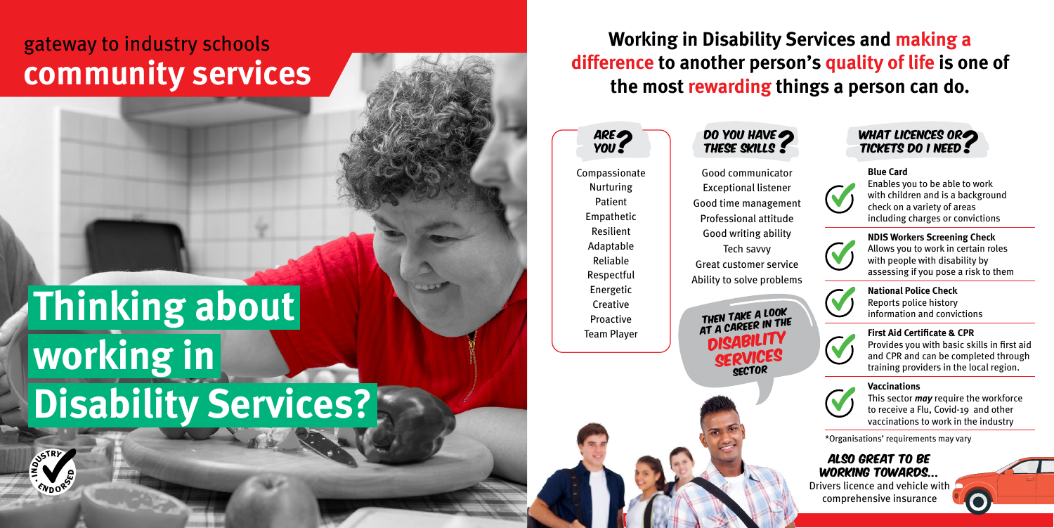**Working in Disability Services and making a difference to another person's quality of life is one of the most rewarding things a person can do.**

Compassionate Nurturing Patient Empathetic Resilient Adaptable Reliable Respectful Energetic **Creative** Proactive Team Player



\*Organisations' requirements may vary



## Also great to be working towards...

Drivers licence and vehicle with comprehensive insurance

# **Thinking about working in Disability Services?**

## gateway to industry schools **community services**